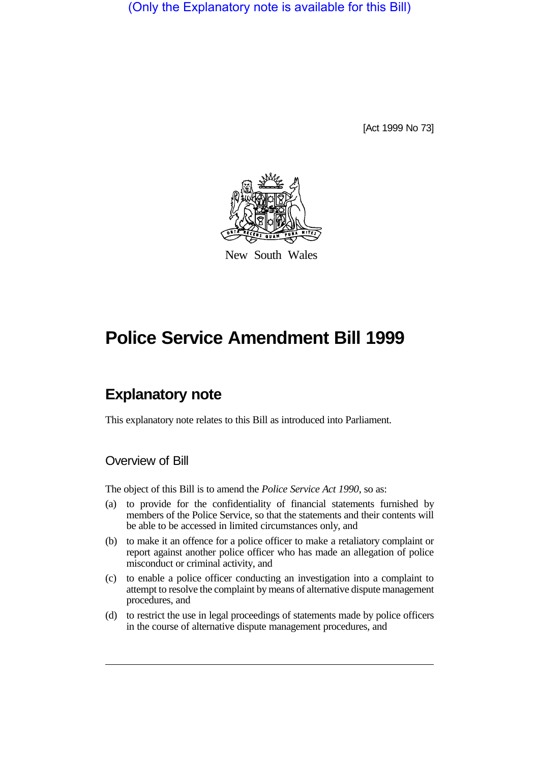(Only the Explanatory note is available for this Bill)

[Act 1999 No 73]



New South Wales

## **Police Service Amendment Bill 1999**

## **Explanatory note**

This explanatory note relates to this Bill as introduced into Parliament.

## Overview of Bill

The object of this Bill is to amend the *Police Service Act 1990*, so as:

- (a) to provide for the confidentiality of financial statements furnished by members of the Police Service, so that the statements and their contents will be able to be accessed in limited circumstances only, and
- (b) to make it an offence for a police officer to make a retaliatory complaint or report against another police officer who has made an allegation of police misconduct or criminal activity, and
- (c) to enable a police officer conducting an investigation into a complaint to attempt to resolve the complaint by means of alternative dispute management procedures, and
- (d) to restrict the use in legal proceedings of statements made by police officers in the course of alternative dispute management procedures, and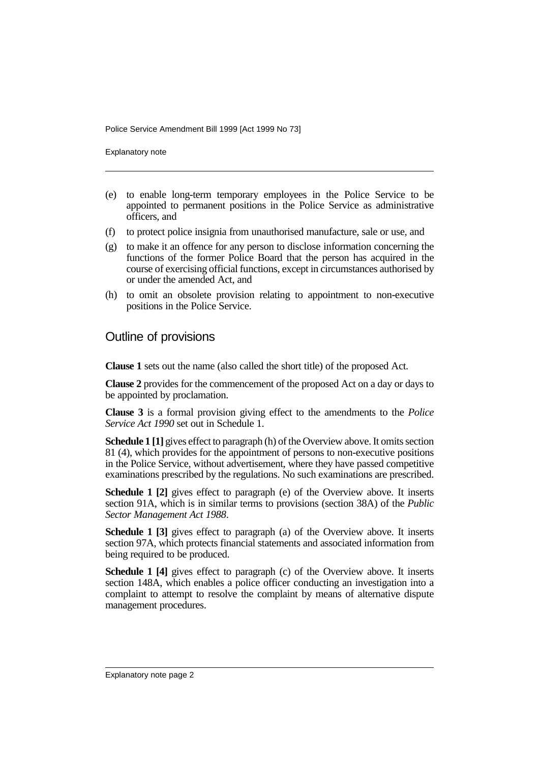Police Service Amendment Bill 1999 [Act 1999 No 73]

Explanatory note

- (e) to enable long-term temporary employees in the Police Service to be appointed to permanent positions in the Police Service as administrative officers, and
- (f) to protect police insignia from unauthorised manufacture, sale or use, and
- (g) to make it an offence for any person to disclose information concerning the functions of the former Police Board that the person has acquired in the course of exercising official functions, except in circumstances authorised by or under the amended Act, and
- (h) to omit an obsolete provision relating to appointment to non-executive positions in the Police Service.

## Outline of provisions

**Clause 1** sets out the name (also called the short title) of the proposed Act.

**Clause 2** provides for the commencement of the proposed Act on a day or days to be appointed by proclamation.

**Clause 3** is a formal provision giving effect to the amendments to the *Police Service Act 1990* set out in Schedule 1.

**Schedule 1 [1]** gives effect to paragraph (h) of the Overview above. It omits section 81 (4), which provides for the appointment of persons to non-executive positions in the Police Service, without advertisement, where they have passed competitive examinations prescribed by the regulations. No such examinations are prescribed.

**Schedule 1 [2]** gives effect to paragraph (e) of the Overview above. It inserts section 91A, which is in similar terms to provisions (section 38A) of the *Public Sector Management Act 1988*.

**Schedule 1 [3]** gives effect to paragraph (a) of the Overview above. It inserts section 97A, which protects financial statements and associated information from being required to be produced.

**Schedule 1 [4]** gives effect to paragraph (c) of the Overview above. It inserts section 148A, which enables a police officer conducting an investigation into a complaint to attempt to resolve the complaint by means of alternative dispute management procedures.